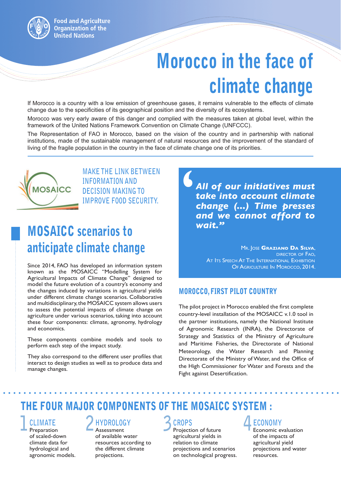# Morocco in the face of climate change

If Morocco is a country with a low emission of greenhouse gases, it remains vulnerable to the effects of climate change due to the specificities of its geographical position and the diversity of its ecosystems.

Morocco was very early aware of this danger and complied with the measures taken at global level, within the framework of the United Nations Framework Convention on Climate Change (UNFCCC).

The Representation of FAO in Morocco, based on the vision of the country and in partnership with national institutions, made of the sustainable management of natural resources and the improvement of the standard of living of the fragile population in the country in the face of climate change one of its priorities.



MAKE THE LINK BETWEEN<br>
INFORMATION AND<br>
DECISION MAKING TO<br>
IMPROVE FOOD SECURITY.<br> **Connarios to**<br> **Connarios to**<br> **Connarios to**<br> **Connarios to**<br> **Connarios to INFORMATION AND DECISION MAKING TO IMPROVE FOOD SECURITY.**

### MOSAICC scenarios to anticipate climate change

Since 2014, FAO has developed an information system known as the MOSAICC "Modelling System for Agricultural Impacts of Climate Change" designed to model the future evolution of a country's economy and the changes induced by variations in agricultural yields under different climate change scenarios. Collaborative and multidisciplinary, the MOSAICC system allows users to assess the potential impacts of climate change on agriculture under various scenarios, taking into account these four components: climate, agronomy, hydrology and economics.

These components combine models and tools to perform each step of the impact study.

They also correspond to the different user profiles that interact to design studies as well as to produce data and manage changes.

*All of our initiatives must take into account climate change (...) Time presses and we cannot afford to wait."*

> Mr. Jose **Graziano Da Silva**, director of Fao, AT ITS SPEECH AT THE INTERNATIONAL EXHIBITION OF AGRICULTURE IN MOROCCO, 2014.

### MOROCCO, FIRST PILOT COUNTRY

The pilot project in Morocco enabled the first complete country-level installation of the MOSAICC v.1.0 tool in the partner institutions, namely the National Institute of Agronomic Research (INRA), the Directorate of Strategy and Statistics of the Ministry of Agriculture and Maritime Fisheries, the Directorate of National Meteorology, the Water Research and Planning Directorate of the Ministry of Water, and the Office of the High Commissioner for Water and Forests and the Fight against Desertification.

### THE FOUR MAJOR COMPONENTS OF THE MOSAICC SYSTEM :

### **1 CLIMATE** Preparation

of scaled-down climate data for hydrological and agronomic models.

### **2 HYDROLOGY**

Assessment of available water resources according to the different climate projections.

**3 CROPS** Projection of future agricultural yields in relation to climate projections and scenarios on technological progress.

### **4 ECONOMY**

Economic evaluation of the impacts of agricultural yield projections and water resources.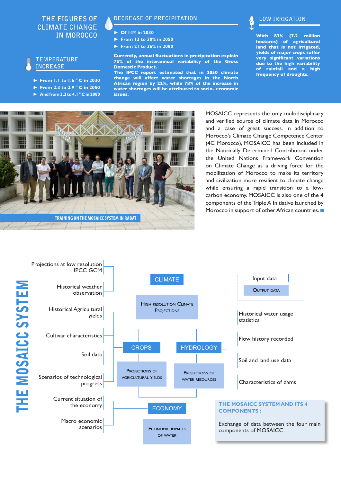#### **THE FIGURES OF CLIMATE CHANGE IN MOROCCO**

#### **TEMPERATURE INCREASE**

- ► **From 1.1 to 1.6 ° C in 2030**
- ► **From 2.3 to 2.9 ° C in 2050**
- ► **And from 3.2 to 4.1 ° C in 2080**

#### **DECREASE OF PRECIPITATION**

- ► **Of 14% in 2030**
- ► **From 13 to 30% in 2050**
- ► **From 21 to 36% in 2080**

**Currently, annual fluctuations in precipitation explain 75% of the interannual variability of the Gross Domestic Product.** 

**The IPCC report estimated that in 2050 climate change will affect water shortages in the North African region by 22%, while 78% of the increase in water shortages will be attributed to socio- economic issues.**



**With 83% (7.2 million hectares) of agricultural land that is not irrigated, yields of major crops suffer very significant variations due to the high variability of rainfall and a high frequency of droughts.**



MOSAICC represents the only multidisciplinary and verified source of climate data in Morocco and a case of great success. In addition to Morocco's Climate Change Competence Center (4C Morocco), MOSAICC has been included in the Nationally Determined Contribution under the United Nations Framework Convention on Climate Change as a driving force for the mobilization of Morocco to make its territory and civilization more resilient to climate change while ensuring a rapid transition to a lowcarbon economy. MOSAICC is also one of the 4 components of the Triple A Initiative launched by Morocco in support of other African countries.

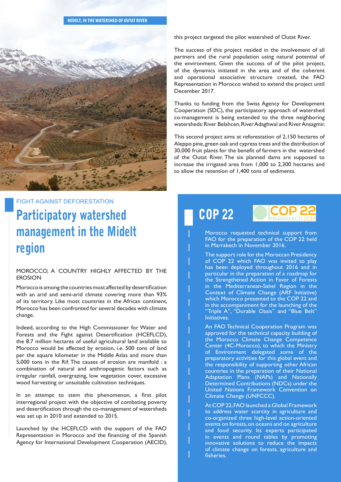![](_page_2_Picture_1.jpeg)

#### FIGHT AGAINST DEFORESTATION

### Participatory watershed management in the Midelt region

#### MOROCCO, A COUNTRY HIGHLY AFFECTED BY THE EROSION

Morocco is among the countries most affected by desertification with an arid and semi-arid climate covering more than 93% of its territory. Like most countries in the African continent, Morocco has been confronted for several decades with climate change.

Indeed, according to the High Commissioner for Water and Forests and the Fight against Desertification (HCEFLCD), the 8.7 million hectares of useful agricultural land available to Morocco would be affected by erosion, i.e. 500 tons of land per the square kilometer in the Middle Atlas and more than 5,000 tons in the Rif. The causes of erosion are manifold : a combination of natural and anthropogenic factors such as irregular rainfall, overgrazing, low vegetation cover, excessive wood harvesting or unsuitable cultivation techniques.

In an attempt to stem this phenomenon, a first pilot interregional project with the objective of combating poverty and desertification through the co-management of watersheds was set up in 2010 and extended to 2015.

Launched by the HCEFLCD with the support of the FAO Representation in Morocco and the financing of the Spanish Agency for International Development Cooperation (AECID), this project targeted the pilot watershed of Outat River.

The success of this project resided in the involvement of all partners and the rural population using natural potential of the environment. Given the success of of the pilot project, of the dynamics initiated in the area and of the coherent and operational associative structure created, the FAO Representation in Morocco wished to extend the project until December 2017.

Thanks to funding from the Swiss Agency for Development Cooperation (SDC), the participatory approach of watershed co-management is being extended to the three neighboring watersheds: River Belahcen, River Adaghwal and River Ansagmir.

This second project aims at reforestation of 2,150 hectares of Aleppo pine, green oak and cypress trees and the distribution of 30,000 fruit plants for the benefit of farmers in the watershed of the Outat River. The six planned dams are supposed to increase the irrigated area from 1,000 to 2,300 hectares and to allow the retention of 1,400 tons of sediments.

COP 22

![](_page_2_Picture_14.jpeg)

Morocco requested technical support from FAO for the preparation of the COP 22 held in Marrakech in November 2016.

The support role for the Moroccan Presidency of COP 22 which FAO was invited to play has been deployed throughout 2016 and in particular in the preparation of a roadmap for the Strengthened Action in Favor of Forests in the Mediterranean-Sahel Region in the Context of Climate Change (ARF Initiative) which Morocco presented to the COP 22 and in the accompaniment for the launching of the "Triple A", "Durable Oasis" and "Blue Belt" Initiatives.

An FAO Technical Cooperation Program was approved for the technical capacity building of the Morocco Climate Change Competence Center (4C-Morocco), to which the Ministry of Environment delegated some of the preparatory activities for this global event and the responsibility of supporting other African countries in the preparation of their National Adaptation Plans (NAPs) and Nationally Determined Contributions (NDCs) under the United Nations Framework Convention on Climate Change (UNFCCC).

At COP 22, FAO launched a Global Framework to address water scarcity in agriculture and co-organized three high-level action-oriented events on forests, on oceans and on agriculture and food security. Its experts participated in events and round tables by promoting innovative solutions to reduce the impacts of climate change on forests, agriculture and fisheries.